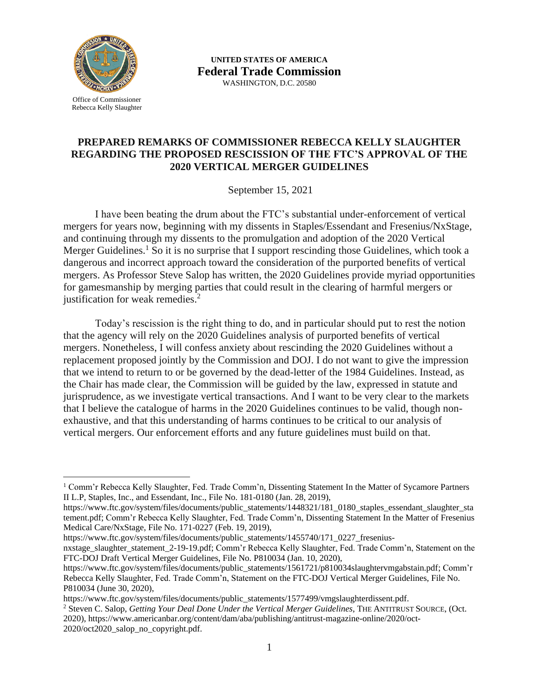

 $\overline{a}$ 

**UNITED STATES OF AMERICA Federal Trade Commission** WASHINGTON, D.C. 20580

## **PREPARED REMARKS OF COMMISSIONER REBECCA KELLY SLAUGHTER REGARDING THE PROPOSED RESCISSION OF THE FTC'S APPROVAL OF THE 2020 VERTICAL MERGER GUIDELINES**

September 15, 2021

I have been beating the drum about the FTC's substantial under-enforcement of vertical mergers for years now, beginning with my dissents in Staples/Essendant and Fresenius/NxStage, and continuing through my dissents to the promulgation and adoption of the 2020 Vertical Merger Guidelines.<sup>1</sup> So it is no surprise that I support rescinding those Guidelines, which took a dangerous and incorrect approach toward the consideration of the purported benefits of vertical mergers. As Professor Steve Salop has written, the 2020 Guidelines provide myriad opportunities for gamesmanship by merging parties that could result in the clearing of harmful mergers or justification for weak remedies.<sup>2</sup>

Today's rescission is the right thing to do, and in particular should put to rest the notion that the agency will rely on the 2020 Guidelines analysis of purported benefits of vertical mergers. Nonetheless, I will confess anxiety about rescinding the 2020 Guidelines without a replacement proposed jointly by the Commission and DOJ. I do not want to give the impression that we intend to return to or be governed by the dead-letter of the 1984 Guidelines. Instead, as the Chair has made clear, the Commission will be guided by the law, expressed in statute and jurisprudence, as we investigate vertical transactions. And I want to be very clear to the markets that I believe the catalogue of harms in the 2020 Guidelines continues to be valid, though nonexhaustive, and that this understanding of harms continues to be critical to our analysis of vertical mergers. Our enforcement efforts and any future guidelines must build on that.

https://www.ftc.gov/system/files/documents/public\_statements/1455740/171\_0227\_freseniusnxstage\_slaughter\_statement\_2-19-19.pdf; Comm'r Rebecca Kelly Slaughter, Fed. Trade Comm'n, Statement on the FTC-DOJ Draft Vertical Merger Guidelines, File No. P810034 (Jan. 10, 2020),

<sup>1</sup> Comm'r Rebecca Kelly Slaughter, Fed. Trade Comm'n, Dissenting Statement In the Matter of Sycamore Partners II L.P, Staples, Inc., and Essendant, Inc., File No. 181-0180 (Jan. 28, 2019),

https://www.ftc.gov/system/files/documents/public\_statements/1448321/181\_0180\_staples\_essendant\_slaughter\_sta tement.pdf; Comm'r Rebecca Kelly Slaughter, Fed. Trade Comm'n, Dissenting Statement In the Matter of Fresenius Medical Care/NxStage, File No. 171-0227 (Feb. 19, 2019),

[https://www.ftc.gov/system/files/documents/public\\_statements/1561721/p810034slaughtervmgabstain.pdf;](https://www.ftc.gov/system/files/documents/public_statements/1561721/p810034slaughtervmgabstain.pdf) Comm'r Rebecca Kelly Slaughter, Fed. Trade Comm'n, Statement on the FTC-DOJ Vertical Merger Guidelines, File No. P810034 (June 30, 2020),

https://www.ftc.gov/system/files/documents/public\_statements/1577499/vmgslaughterdissent.pdf.

<sup>2</sup> Steven C. Salop, *Getting Your Deal Done Under the Vertical Merger Guidelines*, THE ANTITRUST SOURCE, (Oct. 2020), https://www.americanbar.org/content/dam/aba/publishing/antitrust-magazine-online/2020/oct-2020/oct2020\_salop\_no\_copyright.pdf.